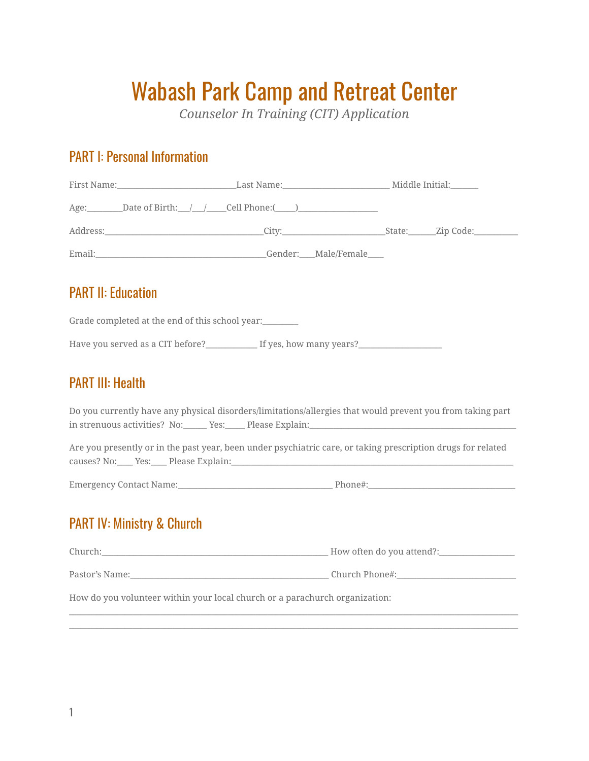# Wabash Park Camp and Retreat Center

*Counselor In Training (CIT) Application*

## PART I: Personal Information

| <b>PART II: Education</b>                                                   |                                                                                                              |  |  |  |
|-----------------------------------------------------------------------------|--------------------------------------------------------------------------------------------------------------|--|--|--|
|                                                                             | Grade completed at the end of this school year:                                                              |  |  |  |
|                                                                             | Have you served as a CIT before?_______________ If yes, how many years?________________                      |  |  |  |
| <b>PART III: Health</b>                                                     |                                                                                                              |  |  |  |
|                                                                             | Do you currently have any physical disorders/limitations/allergies that would prevent you from taking part   |  |  |  |
|                                                                             | Are you presently or in the past year, been under psychiatric care, or taking prescription drugs for related |  |  |  |
|                                                                             |                                                                                                              |  |  |  |
| <b>PART IV: Ministry &amp; Church</b>                                       |                                                                                                              |  |  |  |
|                                                                             |                                                                                                              |  |  |  |
|                                                                             |                                                                                                              |  |  |  |
| How do you volunteer within your local church or a parachurch organization: |                                                                                                              |  |  |  |
|                                                                             |                                                                                                              |  |  |  |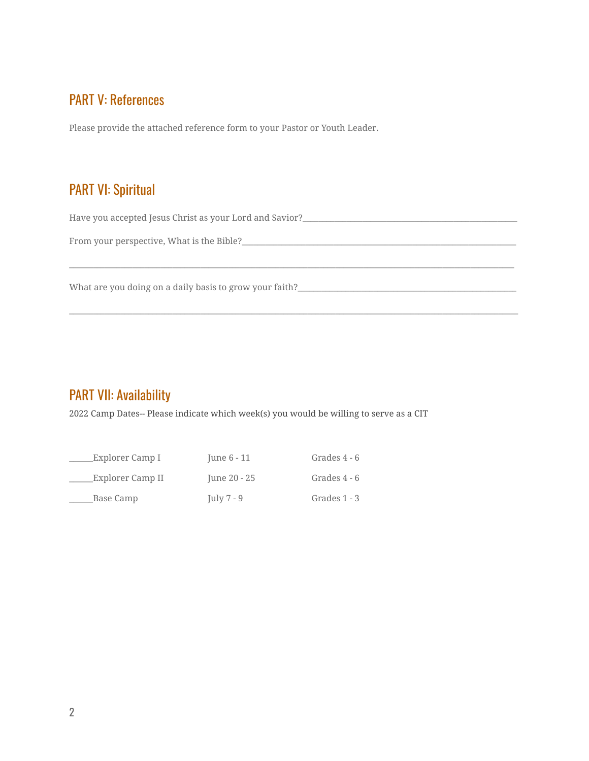#### PART V: References

Please provide the attached reference form to your Pastor or Youth Leader.

#### PART VI: Spiritual

Have you accepted Jesus Christ as your Lord and Savior?\_\_\_\_\_\_\_\_\_\_\_\_\_\_\_\_\_\_\_\_\_\_\_\_\_

\_\_\_\_\_\_\_\_\_\_\_\_\_\_\_\_\_\_\_\_\_\_\_\_\_\_\_\_\_\_\_\_\_\_\_\_\_\_\_\_\_\_\_\_\_\_\_\_\_\_\_\_\_\_\_\_\_\_\_\_\_\_\_\_\_\_\_\_\_\_\_\_\_\_\_\_\_\_\_\_\_\_\_\_\_\_\_\_\_\_\_\_\_\_\_\_\_\_\_\_\_\_\_\_\_\_\_\_\_\_\_\_

\_\_\_\_\_\_\_\_\_\_\_\_\_\_\_\_\_\_\_\_\_\_\_\_\_\_\_\_\_\_\_\_\_\_\_\_\_\_\_\_\_\_\_\_\_\_\_\_\_\_\_\_\_\_\_\_\_\_\_\_\_\_\_\_\_\_\_\_\_\_\_\_\_\_\_\_\_\_\_\_\_\_\_\_\_\_\_\_\_\_\_\_\_\_\_\_\_\_\_\_\_\_\_\_\_\_\_\_\_\_\_\_\_

From your perspective, What is the Bible?\_\_\_\_\_\_\_\_\_\_\_\_\_\_\_\_\_\_\_\_\_\_\_\_\_\_\_\_\_\_\_\_\_\_\_\_\_\_\_\_\_\_\_\_\_\_\_\_\_\_\_\_\_\_\_\_\_\_\_\_\_\_\_\_\_\_\_\_\_

What are you doing on a daily basis to grow your faith?\_\_\_\_\_\_\_\_\_\_\_\_\_\_\_\_\_\_\_\_\_\_\_\_\_\_\_\_\_\_\_\_\_\_\_\_\_\_\_\_\_\_\_\_\_\_\_\_\_\_\_\_\_\_\_

#### PART VII: Availability

2022 Camp Dates-- Please indicate which week(s) you would be willing to serve as a CIT

| Explorer Camp I  | June 6 - 11  | Grades 4 - 6 |
|------------------|--------------|--------------|
| Explorer Camp II | June 20 - 25 | Grades 4 - 6 |
| Base Camp        | July $7 - 9$ | Grades 1 - 3 |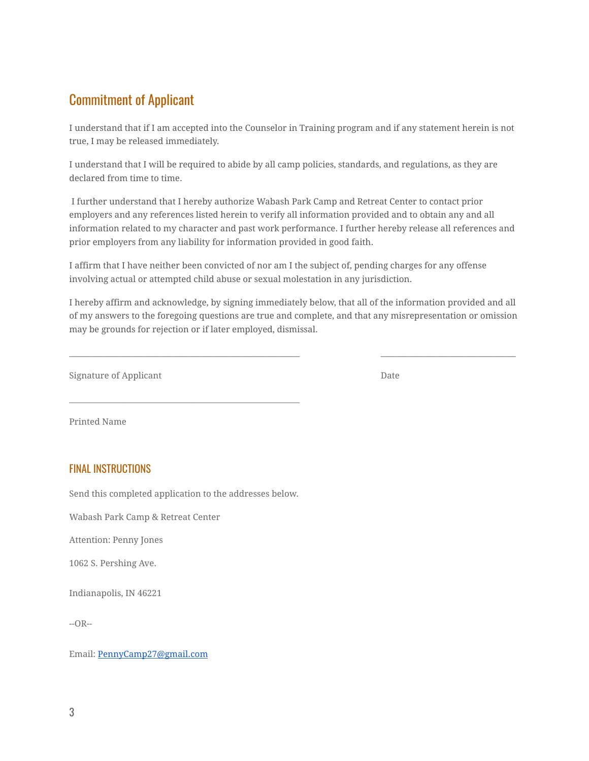### Commitment of Applicant

I understand that if I am accepted into the Counselor in Training program and if any statement herein is not true, I may be released immediately.

I understand that I will be required to abide by all camp policies, standards, and regulations, as they are declared from time to time.

I further understand that I hereby authorize Wabash Park Camp and Retreat Center to contact prior employers and any references listed herein to verify all information provided and to obtain any and all information related to my character and past work performance. I further hereby release all references and prior employers from any liability for information provided in good faith.

I affirm that I have neither been convicted of nor am I the subject of, pending charges for any offense involving actual or attempted child abuse or sexual molestation in any jurisdiction.

I hereby affirm and acknowledge, by signing immediately below, that all of the information provided and all of my answers to the foregoing questions are true and complete, and that any misrepresentation or omission may be grounds for rejection or if later employed, dismissal.

\_\_\_\_\_\_\_\_\_\_\_\_\_\_\_\_\_\_\_\_\_\_\_\_\_\_\_\_\_\_\_\_\_\_\_\_\_\_\_\_\_\_\_\_\_\_\_\_\_\_\_\_\_\_\_\_\_\_ \_\_\_\_\_\_\_\_\_\_\_\_\_\_\_\_\_\_\_\_\_\_\_\_\_\_\_\_\_\_\_\_\_\_

Signature of Applicant Date Date Date Date

Printed Name

#### FINAL INSTRUCTIONS

Send this completed application to the addresses below.

\_\_\_\_\_\_\_\_\_\_\_\_\_\_\_\_\_\_\_\_\_\_\_\_\_\_\_\_\_\_\_\_\_\_\_\_\_\_\_\_\_\_\_\_\_\_\_\_\_\_\_\_\_\_\_\_\_\_

Wabash Park Camp & Retreat Center

Attention: Penny Jones

1062 S. Pershing Ave.

Indianapolis, IN 46221

 $-OR-$ 

Email: [PennyCamp27@gmail.com](mailto:PennyCamp27@gmail.com)